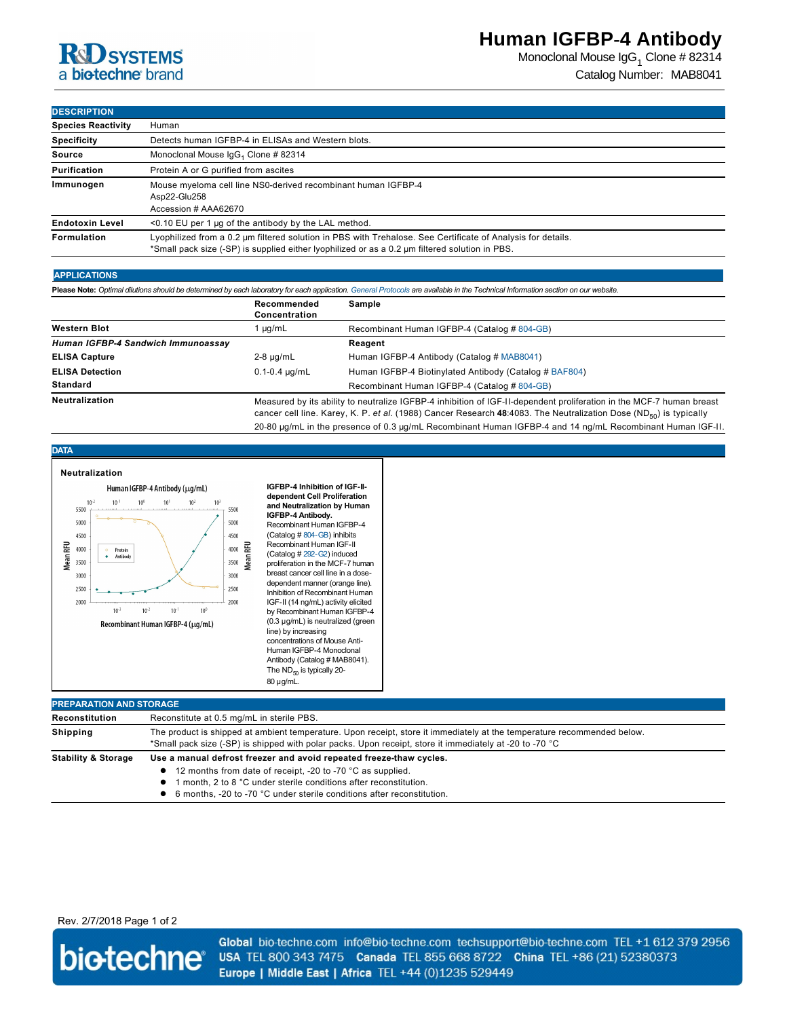# **R**d SYSTEMS a biotechne brand

Monoclonal Mouse IgG $_1$  Clone # 82314 Catalog Number: MAB8041

### **DESCRIPTION**

| <b>Species Reactivity</b> | Human                                                                                                                                                                                                         |  |  |  |
|---------------------------|---------------------------------------------------------------------------------------------------------------------------------------------------------------------------------------------------------------|--|--|--|
| <b>Specificity</b>        | Detects human IGFBP-4 in ELISAs and Western blots.                                                                                                                                                            |  |  |  |
| <b>Source</b>             | Monoclonal Mouse IgG <sub>1</sub> Clone # 82314                                                                                                                                                               |  |  |  |
| Purification              | Protein A or G purified from ascites                                                                                                                                                                          |  |  |  |
| Immunogen                 | Mouse myeloma cell line NS0-derived recombinant human IGFBP-4<br>Asp22-Glu258<br>Accession # AAA62670                                                                                                         |  |  |  |
| <b>Endotoxin Level</b>    | $\leq$ 0.10 EU per 1 µg of the antibody by the LAL method.                                                                                                                                                    |  |  |  |
| <b>Formulation</b>        | Lyophilized from a 0.2 µm filtered solution in PBS with Trehalose. See Certificate of Analysis for details.<br>*Small pack size (-SP) is supplied either lyophilized or as a 0.2 µm filtered solution in PBS. |  |  |  |

#### **APPLICATIONS**

Please Note: Optimal dilutions should be determined by each laboratory for each application. [General Protocols](http://www.rndsystems.com/resources/protocols-troubleshooting-guides) are available in the Technical Information section on our website.

|                                    | Recommended<br>Concentration                                                                                                                                                                                                                           | Sample                                                 |
|------------------------------------|--------------------------------------------------------------------------------------------------------------------------------------------------------------------------------------------------------------------------------------------------------|--------------------------------------------------------|
| <b>Western Blot</b>                | µg/mL                                                                                                                                                                                                                                                  | Recombinant Human IGFBP-4 (Catalog # 804-GB)           |
| Human IGFBP-4 Sandwich Immunoassav |                                                                                                                                                                                                                                                        | Reagent                                                |
| <b>ELISA Capture</b>               | $2-8$ µg/mL                                                                                                                                                                                                                                            | Human IGFBP-4 Antibody (Catalog # MAB8041)             |
| <b>ELISA Detection</b>             | $0.1 - 0.4 \mu q/mL$                                                                                                                                                                                                                                   | Human IGFBP-4 Biotinylated Antibody (Catalog # BAF804) |
| <b>Standard</b>                    |                                                                                                                                                                                                                                                        | Recombinant Human IGFBP-4 (Catalog # 804-GB)           |
| Neutralization                     | Measured by its ability to neutralize IGFBP-4 inhibition of IGF-II-dependent proliferation in the MCF-7 human breast<br>cancer cell line. Karey, K. P. et al. (1988) Cancer Research 48:4083. The Neutralization Dose (ND <sub>50</sub> ) is typically |                                                        |

20-80 µg/mL in the presence of 0.3 µg/mL Recombinant Human IGFBP-4 and 14 ng/mL Recombinant Human IGF-II.

#### **DATA**

| Neutralization<br>Human IGFBP-4 Antibody (µq/mL)<br>$10^{-2}$<br>$10^{-1}$<br>10 <sup>0</sup><br>10 <sup>1</sup><br>10 <sup>3</sup><br>10 <sup>2</sup><br>5500<br>5000<br>4500<br><b>Mean RFU</b><br>4000<br>Protein<br>$\circ$<br>Antibody<br>3500<br>3000<br>2500<br>2000<br>$10^{-3}$<br>$10^{-2}$<br>$10^{-1}$<br>10 <sup>0</sup><br>Recombinant Human IGFBP-4 (µg/mL) | 5500<br>5000<br>4500<br>4000<br>3500<br>3000<br>2500<br>2000 | MeanRFU | IGFBP-4 Inhibition of IGF-II-<br>dependent Cell Proliferation<br>and Neutralization by Human<br>IGFBP-4 Antibody.<br>Recombinant Human IGFBP-4<br>(Catalog # 804-GB) inhibits<br>Recombinant Human IGF-II<br>(Catalog # 292-G2) induced<br>proliferation in the MCF-7 human<br>breast cancer cell line in a dose-<br>dependent manner (orange line).<br>Inhibition of Recombinant Human<br>IGF-II (14 ng/mL) activity elicited<br>by Recombinant Human IGFBP-4<br>(0.3 µg/mL) is neutralized (green<br>line) by increasing<br>concentrations of Mouse Anti-<br>Human IGFBP-4 Monoclonal<br>Antibody (Catalog # MAB8041).<br>The ND <sub>m</sub> is typically 20-<br>80 µg/mL. |  |  |
|----------------------------------------------------------------------------------------------------------------------------------------------------------------------------------------------------------------------------------------------------------------------------------------------------------------------------------------------------------------------------|--------------------------------------------------------------|---------|-------------------------------------------------------------------------------------------------------------------------------------------------------------------------------------------------------------------------------------------------------------------------------------------------------------------------------------------------------------------------------------------------------------------------------------------------------------------------------------------------------------------------------------------------------------------------------------------------------------------------------------------------------------------------------|--|--|
|----------------------------------------------------------------------------------------------------------------------------------------------------------------------------------------------------------------------------------------------------------------------------------------------------------------------------------------------------------------------------|--------------------------------------------------------------|---------|-------------------------------------------------------------------------------------------------------------------------------------------------------------------------------------------------------------------------------------------------------------------------------------------------------------------------------------------------------------------------------------------------------------------------------------------------------------------------------------------------------------------------------------------------------------------------------------------------------------------------------------------------------------------------------|--|--|

| <b>PREPARATION AND STORAGE</b> |                                                                                                                                                                                                                                                                                    |  |  |  |
|--------------------------------|------------------------------------------------------------------------------------------------------------------------------------------------------------------------------------------------------------------------------------------------------------------------------------|--|--|--|
| Reconstitution                 | Reconstitute at 0.5 mg/mL in sterile PBS.                                                                                                                                                                                                                                          |  |  |  |
| <b>Shipping</b>                | The product is shipped at ambient temperature. Upon receipt, store it immediately at the temperature recommended below.<br>*Small pack size (-SP) is shipped with polar packs. Upon receipt, store it immediately at -20 to -70 °C                                                 |  |  |  |
| <b>Stability &amp; Storage</b> | Use a manual defrost freezer and avoid repeated freeze-thaw cycles.<br>• 12 months from date of receipt, -20 to -70 °C as supplied.<br>month, 2 to 8 °C under sterile conditions after reconstitution.<br>• 6 months, -20 to -70 °C under sterile conditions after reconstitution. |  |  |  |

Rev. 2/7/2018 Page 1 of 2



Global bio-techne.com info@bio-techne.com techsupport@bio-techne.com TEL +1 612 379 2956 USA TEL 800 343 7475 Canada TEL 855 668 8722 China TEL +86 (21) 52380373 Europe | Middle East | Africa TEL +44 (0)1235 529449